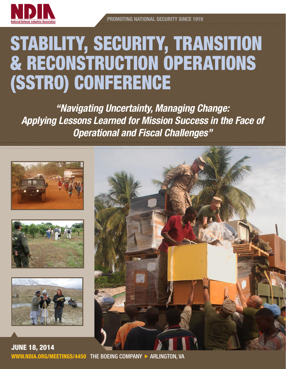

# STABILITY, SECURITY, TRANSITION & RECONSTRUCTION OPERATIONS (SSTRO) CONFERENCE

*"Navigating Uncertainty, Managing Change: Applying Lessons Learned for Mission Success in the Face of Operational and Fiscal Challenges"*







JUNE 18, 2014 WWW.NDIA.ORG/MEETINGS/4450 THE BOEING COMPANY > ARLINGTON, VA

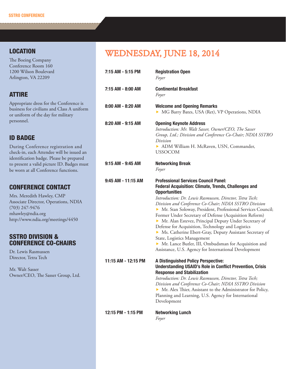### LOCATION The Boeing

|                                                                                                                                                                                                                                                                  | <u>WELFROLISTS</u> JOINE 10, 2011 |                                                                                                                                                                                                                                                                                                                                                                                                                                                                                                                                                                                                                                                                                                                   |  |
|------------------------------------------------------------------------------------------------------------------------------------------------------------------------------------------------------------------------------------------------------------------|-----------------------------------|-------------------------------------------------------------------------------------------------------------------------------------------------------------------------------------------------------------------------------------------------------------------------------------------------------------------------------------------------------------------------------------------------------------------------------------------------------------------------------------------------------------------------------------------------------------------------------------------------------------------------------------------------------------------------------------------------------------------|--|
| The Boeing Company<br>Conference Room 160<br>1200 Wilson Boulevard<br>Arlington, VA 22209                                                                                                                                                                        | 7:15 AM - 5:15 PM                 | <b>Registration Open</b><br>Foyer                                                                                                                                                                                                                                                                                                                                                                                                                                                                                                                                                                                                                                                                                 |  |
| <b>ATTIRE</b>                                                                                                                                                                                                                                                    | 7:15 AM - 8:00 AM                 | <b>Continental Breakfast</b><br>Foyer                                                                                                                                                                                                                                                                                                                                                                                                                                                                                                                                                                                                                                                                             |  |
| Appropriate dress for the Conference is<br>business for civilians and Class A uniform<br>or uniform of the day for military                                                                                                                                      | 8:00 AM - 8:20 AM                 | <b>Welcome and Opening Remarks</b><br>• MG Barry Bates, USA (Ret), VP Operations, NDIA                                                                                                                                                                                                                                                                                                                                                                                                                                                                                                                                                                                                                            |  |
| personnel.                                                                                                                                                                                                                                                       | 8:20 AM - 9:15 AM                 | <b>Opening Keynote Address</b><br>Introduction: Mr. Walt Sasser, Owner/CEO, The Sasser<br>Group, Ltd.; Division and Conference Co-Chair; NDIA SSTRO                                                                                                                                                                                                                                                                                                                                                                                                                                                                                                                                                               |  |
| <b>ID BADGE</b><br>During Conference registration and<br>check-in, each Attendee will be issued an                                                                                                                                                               |                                   | Division<br>> ADM William H. McRaven, USN, Commander,<br><b>USSOCOM</b>                                                                                                                                                                                                                                                                                                                                                                                                                                                                                                                                                                                                                                           |  |
| identification badge. Please be prepared<br>to present a valid picture ID. Badges must<br>be worn at all Conference functions.                                                                                                                                   | 9:15 AM - 9:45 AM                 | <b>Networking Break</b><br>Foyer                                                                                                                                                                                                                                                                                                                                                                                                                                                                                                                                                                                                                                                                                  |  |
| <b>CONFERENCE CONTACT</b><br>Mrs. Meredith Hawley, CMP<br>Associate Director, Operations, NDIA<br>$(703)$ 247-9476<br>mhawley@ndia.org<br>http://www.ndia.org/meetings/4450<br><b>SSTRO DIVISION &amp;</b><br><b>CONFERENCE CO-CHAIRS</b><br>Dr. Lewis Rasmussen | 9:45 AM - 11:15 AM                | <b>Professional Services Council Panel:</b><br><b>Federal Acquisition: Climate, Trends, Challenges and</b><br><b>Opportunities</b><br>Introduction: Dr. Lewis Rasmussen, Director, Tetra Tech;<br>Division and Conference Co-Chair; NDIA SSTRO Division<br>> Mr. Stan Soloway, President, Professional Services Council;<br>Former Under Secretary of Defense (Acquisition Reform)<br>> Mr. Alan Estevez, Principal Deputy Under Secretary of<br>Defense for Acquisition, Technology and Logistics<br>• Ms. Catherine Ebert-Gray, Deputy Assistant Secretary of<br>State, Logistics Management<br>• Mr. Lance Butler, III, Ombudsman for Acquisition and<br>Assistance, U.S. Agency for International Development |  |
| Director, Tetra Tech<br>Mr. Walt Sasser<br>Owner/CEO, The Sasser Group, Ltd.                                                                                                                                                                                     | 11:15 AM - 12:15 PM               | A Distinguished Policy Perspective:<br><b>Understanding USAID's Role in Conflict Prevention, Crisis</b><br><b>Response and Stabilization</b><br>Introduction: Dr. Lewis Rasmussen, Director, Tetra Tech;<br>Division and Conference Co-Chair; NDIA SSTRO Division<br>• Mr. Alex Thier, Assistant to the Administrator for Policy,<br>Planning and Learning, U.S. Agency for International<br>Development                                                                                                                                                                                                                                                                                                          |  |
|                                                                                                                                                                                                                                                                  | 12:15 PM - 1:15 PM                | <b>Networking Lunch</b><br>Foyer                                                                                                                                                                                                                                                                                                                                                                                                                                                                                                                                                                                                                                                                                  |  |

WEDNESDAY JUNE 18, 2014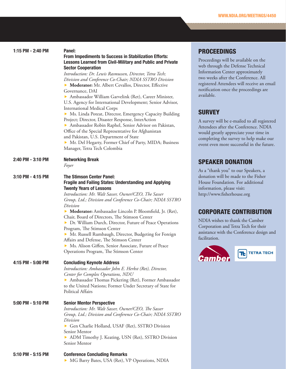| Panel:<br><b>From Impediments to Success in Stabilization Efforts:</b><br><b>Lessons Learned from Civil-Military and Public and Private</b><br><b>Sector Cooperation</b><br>Introduction: Dr. Lewis Rasmussen, Director, Tetra Tech;<br>Division and Conference Co-Chair; NDIA SSTRO Division<br>Moderator: Mr. Albert Cevallos, Director, Effective<br>Governance, DAI<br>Ambassador William Garvelink (Ret), Career Minister,<br>U.S. Agency for International Development; Senior Advisor,<br><b>International Medical Corps</b><br>• Ms. Linda Poteat, Director, Emergency Capacity Building<br>Project; Director, Disaster Response, InterAction<br>Ambassador Robin Raphel, Senior Advisor on Pakistan,<br>Office of the Special Representative for Afghanistan<br>and Pakistan, U.S. Department of State | <b>PROCEEDINGS</b><br>Proceedings will be available on the<br>web through the Defense Technical<br>Information Center approximately<br>two weeks after the Conference. All<br>registered Attendees will receive an email<br>notification once the proceedings are<br>available.<br><b>SURVEY</b><br>A survey will be e-mailed to all registered<br>Attendees after the Conference. NDIA<br>would greatly appreciate your time in<br>completing the survey to help make our |  |
|-----------------------------------------------------------------------------------------------------------------------------------------------------------------------------------------------------------------------------------------------------------------------------------------------------------------------------------------------------------------------------------------------------------------------------------------------------------------------------------------------------------------------------------------------------------------------------------------------------------------------------------------------------------------------------------------------------------------------------------------------------------------------------------------------------------------|----------------------------------------------------------------------------------------------------------------------------------------------------------------------------------------------------------------------------------------------------------------------------------------------------------------------------------------------------------------------------------------------------------------------------------------------------------------------------|--|
| Manager, Tetra Tech Colombia<br><b>Networking Break</b>                                                                                                                                                                                                                                                                                                                                                                                                                                                                                                                                                                                                                                                                                                                                                         | event even more successful in the future.<br><b>SPEAKER DONATION</b>                                                                                                                                                                                                                                                                                                                                                                                                       |  |
| <b>The Stimson Center Panel:</b><br><b>Fragile and Failing States: Understanding and Applying</b><br><b>Twenty Years of Lessons</b><br>Introduction: Mr. Walt Sasser, Owner/CEO, The Sasser<br>Group, Ltd.; Division and Conference Co-Chair; NDIA SSTRO<br>Division<br>Moderator: Ambassador Lincoln P. Bloomfield, Jr. (Ret),<br>Chair, Board of Directors, The Stimson Center<br>> Dr. William Durch, Director, Future of Peace Operations<br>Program, The Stimson Center<br>> Mr. Russell Rumbaugh, Director, Budgeting for Foreign                                                                                                                                                                                                                                                                         | As a "thank you" to our Speakers, a<br>donation will be made to the Fisher<br>House Foundation. For additional<br>information, please visit:<br>http://www.fisherhouse.org<br><b>CORPORATE CONTRIBUTION</b><br>NDIA wishes to thank the Camber<br>Corporation and Tetra Tech for their<br>assistance with the Conference design and                                                                                                                                        |  |
| Affairs and Defense, The Stimson Center<br>> Ms. Alison Giffen, Senior Associate, Future of Peace<br>Operations Program, The Stimson Center                                                                                                                                                                                                                                                                                                                                                                                                                                                                                                                                                                                                                                                                     | facilitation.<br>$\mathbf{E}$ TETRA TECH<br><b>Camber</b> –                                                                                                                                                                                                                                                                                                                                                                                                                |  |
| <b>Concluding Keynote Address</b><br>Introduction: Ambassador John E. Herbst (Ret), Director,<br>Center for Complex Operations, NDU<br>Ambassador Thomas Pickering (Ret), Former Ambassador<br>to the United Nations; Former Under Secretary of State for<br>Political Affairs                                                                                                                                                                                                                                                                                                                                                                                                                                                                                                                                  |                                                                                                                                                                                                                                                                                                                                                                                                                                                                            |  |
| <b>Senior Mentor Perspective</b><br>Introduction: Mr. Walt Sasser, Owner/CEO, The Sasser<br>Group, Ltd.; Division and Conference Co-Chair; NDIA SSTRO<br>Division<br>Gen Charlie Holland, USAF (Ret), SSTRO Division<br>Senior Mentor<br>ADM Timothy J. Keating, USN (Ret), SSTRO Division<br>Senior Mentor                                                                                                                                                                                                                                                                                                                                                                                                                                                                                                     |                                                                                                                                                                                                                                                                                                                                                                                                                                                                            |  |
|                                                                                                                                                                                                                                                                                                                                                                                                                                                                                                                                                                                                                                                                                                                                                                                                                 | > Mr. Del Hegarty, Former Chief of Party, MIDA; Business<br>Foyer                                                                                                                                                                                                                                                                                                                                                                                                          |  |

### 5:10 PM - 5:15 PM Conference Concluding Remarks

MG Barry Bates, USA (Ret), VP Operations, NDIA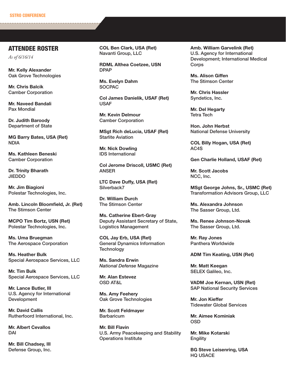### ATTENDEE ROSTER

*As of 6/16/14*

Mr. Kelly Alexander Oak Grove Technologies

Mr. Chris Balcik Camber Corporation

Mr. Naveed Bandali Pax Mondial

Dr. Judith Baroody Department of State

MG Barry Bates, USA (Ret) NDIA

Ms. Kathleen Beneski Camber Corporation

Dr. Trinity Bharath JIEDDO

Mr. Jim Biagioni Polestar Technologies, Inc.

Amb. Lincoln Bloomfield, Jr. (Ret) The Stimson Center

MCPO Tim Bortz, USN (Ret) Polestar Technologies, Inc.

Ms. Uma Bruegman The Aerospace Corporation

Ms. Heather Bulk Special Aerospace Services, LLC

Mr. Tim Bulk Special Aerospace Services, LLC

Mr. Lance Butler, III U.S. Agency for International **Development** 

Mr. David Callis Rutherfoord International, Inc.

Mr. Albert Cevallos DAI

Mr. Bill Chadsey, III Defense Group, Inc. COL Ben Clark, USA (Ret) Navanti Group, LLC

RDML Althea Coetzee, USN DPAP

Ms. Evelyn Dahm **SOCPAC** 

Col James Danielik, USAF (Ret) USAF

Mr. Kevin Delmour Camber Corporation

MSgt Rich deLucia, USAF (Ret) Starlite Aviation

Mr. Nick Dowling IDS International

Col Jerome Driscoll, USMC (Ret) ANSER

LTC Dave Duffy, USA (Ret) Silverback7

Dr. William Durch The Stimson Center

Ms. Catherine Ebert-Gray Deputy Assistant Secretary of State, Logistics Management

COL Jay Erb, USA (Ret) General Dynamics Information **Technology** 

Ms. Sandra Erwin *National Defense* Magazine

Mr. Alan Estevez OSD AT&L

Ms. Amy Feehery Oak Grove Technologies

Mr. Scott Feldmayer **Barbaricum** 

Mr. Bill Flavin U.S. Army Peacekeeping and Stability Operations Institute

Amb. William Garvelink (Ret) U.S. Agency for International Development; International Medical **Corps** 

Ms. Alison Giffen The Stimson Center

Mr. Chris Hassler Syndetics, Inc.

Mr. Del Hegarty Tetra Tech

Hon. John Herbst National Defense University

COL Billy Hogan, USA (Ret) AC4S

Gen Charlie Holland, USAF (Ret)

Mr. Scott Jacobs NCC, Inc.

MSgt George Johns, Sr., USMC (Ret) Transformation Advisors Group, LLC

Ms. Alexandra Johnson The Sasser Group, Ltd.

Ms. Renee Johnson-Novak The Sasser Group, Ltd.

Mr. Ray Jones Panthera Worldwide

ADM Tim Keating, USN (Ret)

Mr. Matt Keegan SELEX Galileo, Inc.

VADM Joe Kernan, USN (Ret) SAP National Security Services

Mr. Jon Kieffer Tidewater Global Services

Mr. Aimee Kominiak **OSD** 

Mr. Mike Kotarski **Engility** 

BG Steve Leisenring, USA HQ USACE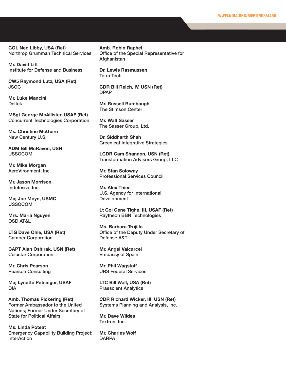COL Ned Libby, USA (Ret) Northrop Grumman Technical Services

Mr. David Litt Institute for Defense and Business

CW5 Raymond Lutz, USA (Ret) JSOC

Mr. Luke Mancini Deltek

MSgt George McAllister, USAF (Ret) Concurrent Technologies Corporation

Ms. Christine McGuire New Century U.S.

ADM Bill McRaven, USN USSOCOM

Mr. Mike Morgan AeroVironment, Inc.

Mr. Jason Morrison Indefessa, Inc.

Maj Joe Moye, USMC USSOCOM

Mrs. Maria Nguyen OSD AT&L

LTG Dave Ohle, USA (Ret) Camber Corporation

CAPT Alan Oshirak, USN (Ret) Celestar Corporation

Mr. Chris Pearson Pearson Consulting

Maj Lynette Petsinger, USAF DIA

Amb. Thomas Pickering (Ret) Former Ambassador to the United Nations; Former Under Secretary of State for Political Affairs

Ms. Linda Poteat Emergency Capability Building Project; **InterAction** 

Amb. Robin Raphel Office of the Special Representative for Afghanistan

Dr. Lewis Rasmussen Tetra Tech

CDR Bill Reich, IV, USN (Ret) DPAP

Mr. Russell Rumbaugh The Stimson Center

Mr. Walt Sasser The Sasser Group, Ltd.

Dr. Siddharth Shah Greenleaf Integrative Strategies

LCDR Cam Shannon, USN (Ret) Transformation Advisors Group, LLC

Mr. Stan Soloway Professional Services Council

Mr. Alex Thier U.S. Agency for International Development

Lt Col Gene Tighe, III, USAF (Ret) Raytheon BBN Technologies

Ms. Barbara Trujillo Office of the Deputy Under Secretary of Defense A&T

Mr. Angel Valcarcel Embassy of Spain

Mr. Phil Wagstaff URS Federal Services

LTC Bill Wall, USA (Ret) Praescient Analytics

CDR Richard Wicker, III, USN (Ret) Systems Planning and Analysis, Inc.

Mr. Dave Wildes Textron, Inc.

Mr. Charles Wolf **DARPA**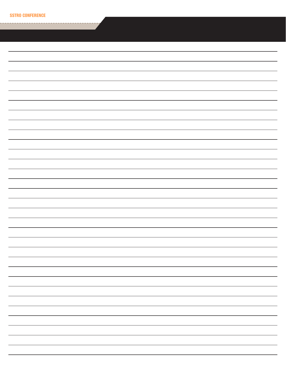| וחי הנ |  |  |
|--------|--|--|
|        |  |  |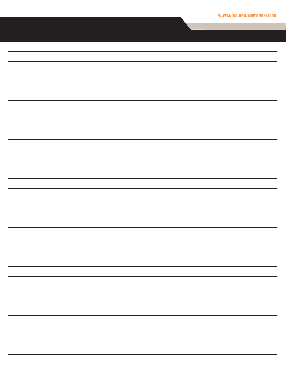| WWW.NDIA.ORG/MEETINGS/4450 |  |  |
|----------------------------|--|--|
|----------------------------|--|--|

| ÷. |
|----|
|    |
|    |
|    |
|    |
|    |
|    |
|    |
| Ξ. |
|    |
| Ξ. |
|    |
|    |
|    |
|    |
| Ξ. |
|    |
| ۰. |
|    |
|    |